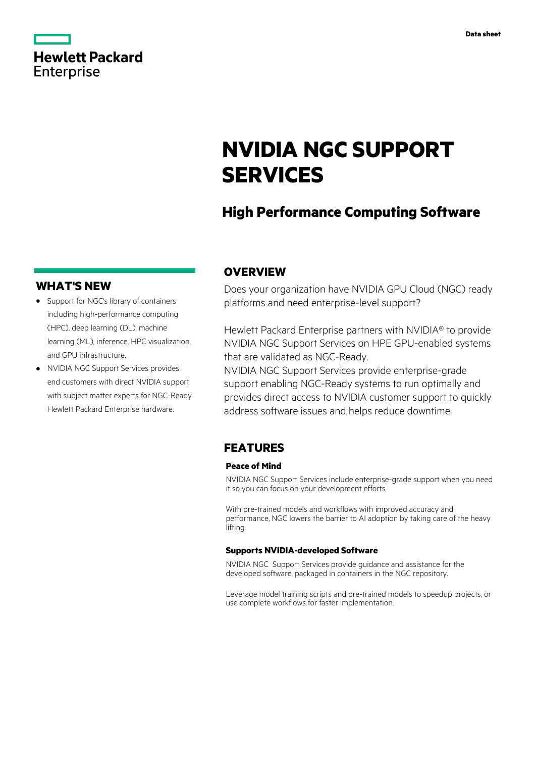|                   | <b>Hewlett Packard</b> |
|-------------------|------------------------|
| <b>Enterprise</b> |                        |

# **NVIDIA NGC SUPPORT SERVICES**

# **High Performance Computing Software**

### **WHAT'S NEW**

- **·** Support for NGC's library of containers including high-performance computing (HPC), deep learning (DL), machine learning (ML), inference, HPC visualization, and GPU infrastructure.
- **·** NVIDIA NGC Support Services provides end customers with direct NVIDIA support with subject matter experts for NGC-Ready Hewlett Packard Enterprise hardware.

## **OVERVIEW**

Does your organization have NVIDIA GPU Cloud (NGC) ready platforms and need enterprise-level support?

Hewlett Packard Enterprise partners with NVIDIA® to provide NVIDIA NGC Support Services on HPE GPU-enabled systems that are validated as NGC-Ready.

NVIDIA NGC Support Services provide enterprise-grade support enabling NGC-Ready systems to run optimally and provides direct access to NVIDIA customer support to quickly address software issues and helps reduce downtime.

## **FEATURES**

#### **Peace of Mind**

NVIDIA NGC Support Services include enterprise-grade support when you need it so you can focus on your development efforts.

With pre-trained models and workflows with improved accuracy and performance, NGC lowers the barrier to AI adoption by taking care of the heavy lifting.

#### **Supports NVIDIA-developed Software**

NVIDIA NGC Support Services provide guidance and assistance for the developed software, packaged in containers in the NGC repository.

Leverage model training scripts and pre-trained models to speedup projects, or use complete workflows for faster implementation.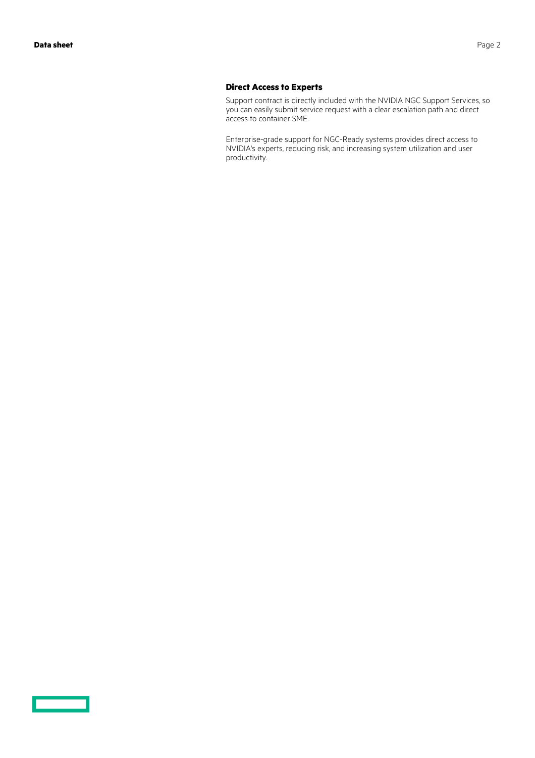#### **Direct Access to Experts**

Support contract is directly included with the NVIDIA NGC Support Services, so you can easily submit service request with a clear escalation path and direct access to container SME.

Enterprise-grade support for NGC-Ready systems provides direct access to NVIDIA's experts, reducing risk, and increasing system utilization and user productivity.